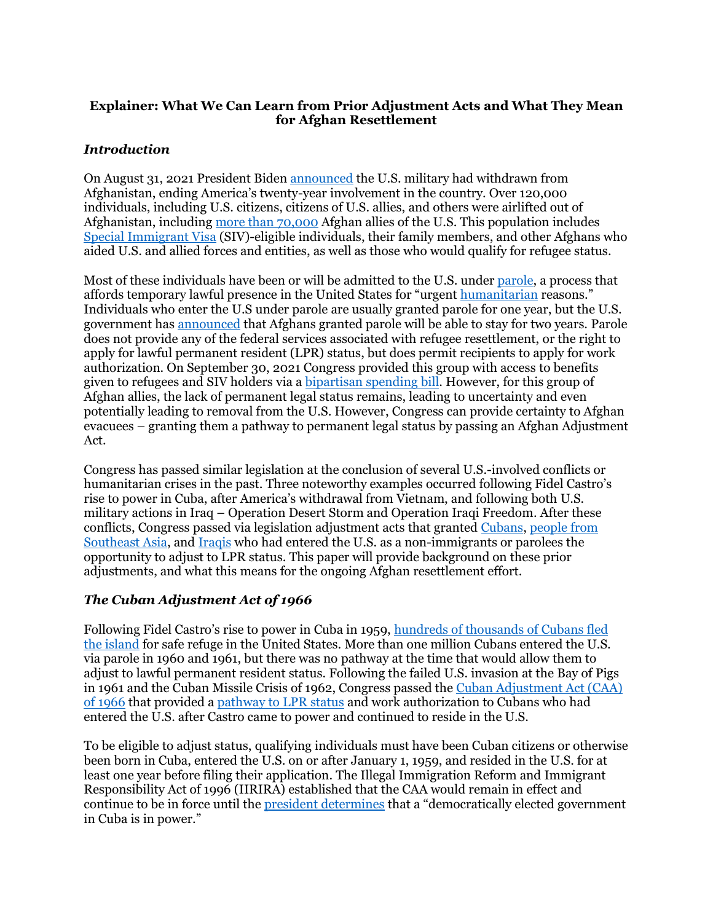## **Explainer: What We Can Learn from Prior Adjustment Acts and What They Mean for Afghan Resettlement**

## *Introduction*

On August 31, 2021 President Biden [announced](https://www.whitehouse.gov/briefing-room/statements-releases/2021/08/30/statement-by-president-joe-biden/) the U.S. military had withdrawn from Afghanistan, ending America's twenty-year involvement in the country. Over 120,000 individuals, including U.S. citizens, citizens of U.S. allies, and others were airlifted out of Afghanistan, including [more than 70,000](https://www.humanrightsfirst.org/press-release/next-steps-after-evacuation-70000-afghans-must-include-access-counsel-pathway-legal) Afghan allies of the U.S. This population includes [Special Immigrant Visa](https://immigrationforum.org/article/fact-sheet-overview-of-the-special-immigrant-visa-programs/) (SIV)-eligible individuals, their family members, and other Afghans who aided U.S. and allied forces and entities, as well as those who would qualify for refugee status.

Most of these individuals have been or will be admitted to the U.S. under [parole,](https://sgp.fas.org/crs/homesec/R46950.pdf) a process that affords temporary lawful presence in the United States for "urgent [humanitarian](https://immigrationforum.org/article/fact-sheet-pathways-to-protection-for-afghans-at-risk/#upcoming-hearings-and-markups) reasons." Individuals who enter the U.S under parole are usually granted parole for one year, but the U.S. government ha[s announced](https://refugees.org/resources-for-afghan-allies/) that Afghans granted parole will be able to stay for two years. Parole does not provide any of the federal services associated with refugee resettlement, or the right to apply for lawful permanent resident (LPR) status, but does permit recipients to apply for work authorization. On September 30, 2021 Congress provided this group with access to benefits given to refugees and SIV holders via a **bipartisan spending bill**. However, for this group of Afghan allies, the lack of permanent legal status remains, leading to uncertainty and even potentially leading to removal from the U.S. However, Congress can provide certainty to Afghan evacuees – granting them a pathway to permanent legal status by passing an Afghan Adjustment Act.

Congress has passed similar legislation at the conclusion of several U.S.-involved conflicts or humanitarian crises in the past. Three noteworthy examples occurred following Fidel Castro's rise to power in Cuba, after America's withdrawal from Vietnam, and following both U.S. military actions in Iraq – Operation Desert Storm and Operation Iraqi Freedom. After these conflicts, Congress passed via legislation adjustment acts that granted [Cubans,](https://www.govinfo.gov/content/pkg/STATUTE-80/pdf/STATUTE-80-Pg1161.pdf) [people from](https://www.govinfo.gov/content/pkg/STATUTE-89/pdf/STATUTE-89-Pg87.pdf#page=1)  [Southeast Asia,](https://www.govinfo.gov/content/pkg/STATUTE-89/pdf/STATUTE-89-Pg87.pdf#page=1) and [Iraqis](https://www.govinfo.gov/content/pkg/PLAW-110publ181/pdf/PLAW-110publ181.pdf#page=394) who had entered the U.S. as a non-immigrants or parolees the opportunity to adjust to LPR status. This paper will provide background on these prior adjustments, and what this means for the ongoing Afghan resettlement effort.

# *The Cuban Adjustment Act of 1966*

Following Fidel Castro's rise to power in Cuba in 1959, [hundreds of thousands of Cubans fled](https://immigrationhistory.org/item/cuban-adjustment-act-of-1966/)  [the island](https://immigrationhistory.org/item/cuban-adjustment-act-of-1966/) for safe refuge in the United States. More than one million Cubans entered the U.S. via parole in 1960 and 1961, but there was no pathway at the time that would allow them to adjust to lawful permanent resident status. Following the failed U.S. invasion at the Bay of Pigs in 1961 and the Cuban Missile Crisis of 1962, Congress passed the [Cuban Adjustment Act \(CAA\)](https://www.govinfo.gov/content/pkg/STATUTE-80/pdf/STATUTE-80-Pg1161.pdf)  [of 1966](https://www.govinfo.gov/content/pkg/STATUTE-80/pdf/STATUTE-80-Pg1161.pdf) that provided [a pathway to LPR status](https://www.uscis.gov/green-card/green-card-eligibility/green-card-for-a-cuban-native-or-citizen) and work authorization to Cubans who had entered the U.S. after Castro came to power and continued to reside in the U.S.

To be eligible to adjust status, qualifying individuals must have been Cuban citizens or otherwise been born in Cuba, entered the U.S. on or after January 1, 1959, and resided in the U.S. for at least one year before filing their application. The Illegal Immigration Reform and Immigrant Responsibility Act of 1996 (IIRIRA) established that the CAA would remain in effect and continue to be in force until the [president determines](https://sgp.fas.org/crs/row/R44714.pdf#page=5) that a "democratically elected government in Cuba is in power."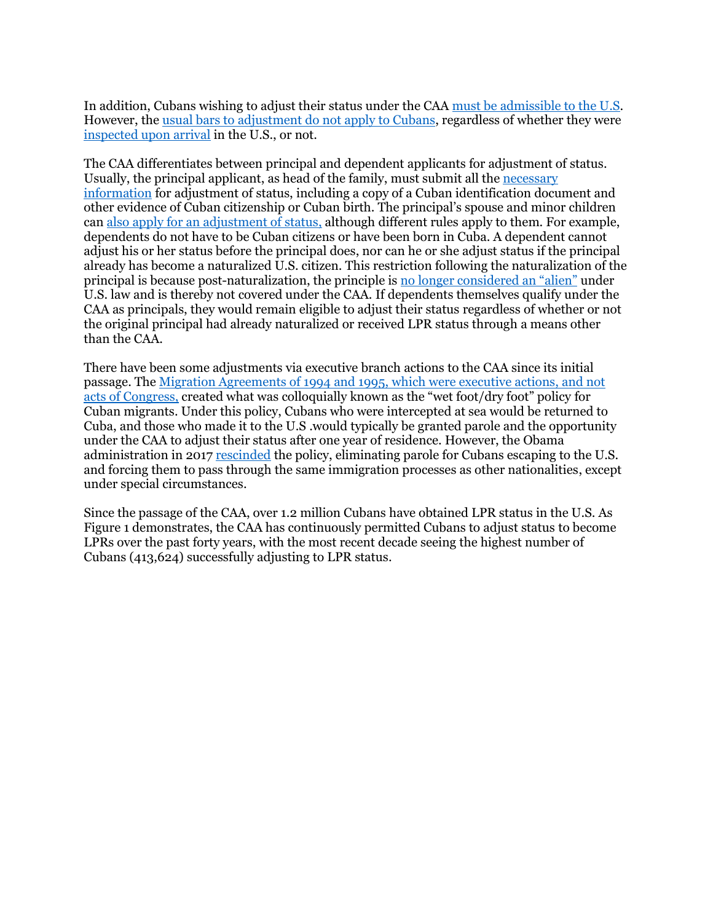In addition, Cubans wishing to adjust their status under the CAA [must be admissible to the U.S.](https://sgp.fas.org/crs/row/R44714.pdf) However, the [usual bars to adjustment do not apply to Cubans,](https://cliniclegal.org/resources/humanitarian-relief/seven-things-you-should-know-about-cuban-adjustment) regardless of whether they were [inspected upon arrival](https://www.justice.gov/eoir/page/file/1028571/download) in the U.S., or not.

The CAA differentiates between principal and dependent applicants for adjustment of status. Usually, the principal applicant, as head of the family, must submit all the [necessary](https://www.uscis.gov/green-card/green-card-eligibility/green-card-for-a-cuban-native-or-citizen)  [information](https://www.uscis.gov/green-card/green-card-eligibility/green-card-for-a-cuban-native-or-citizen) for adjustment of status, including a copy of a Cuban identification document and other evidence of Cuban citizenship or Cuban birth. The principal's spouse and minor children ca[n also apply for an adjustment of status,](https://cliniclegal.org/resources/humanitarian-relief/seven-things-you-should-know-about-cuban-adjustment) although different rules apply to them. For example, dependents do not have to be Cuban citizens or have been born in Cuba. A dependent cannot adjust his or her status before the principal does, nor can he or she adjust status if the principal already has become a naturalized U.S. citizen. This restriction following the naturalization of the principal is because post-naturalization, the principle is [no longer considered an](https://www.justice.gov/eoir/page/file/1028571/download#page=10) "alien" under U.S. law and is thereby not covered under the CAA. If dependents themselves qualify under the CAA as principals, they would remain eligible to adjust their status regardless of whether or not the original principal had already naturalized or received LPR status through a means other than the CAA.

There have been some adjustments via executive branch actions to the CAA since its initial passage. Th[e Migration Agreements of 1994 and 1995,](https://sgp.fas.org/crs/row/R44714.pdf#page=6) which were executive actions, and not acts of Congress, created what was colloquially known as the "wet foot/dry foot" policy for Cuban migrants. Under this policy, Cubans who were intercepted at sea would be returned to Cuba, and those who made it to the U.S .would typically be granted parole and the opportunity under the CAA to adjust their status after one year of residence. However, the Obama administration in 2017 [rescinded](https://www.dhs.gov/sites/default/files/publications/DHS%20Fact%20Sheet%20FINAL.pdf) the policy, eliminating parole for Cubans escaping to the U.S. and forcing them to pass through the same immigration processes as other nationalities, except under special circumstances.

Since the passage of the CAA, over 1.2 million Cubans have obtained LPR status in the U.S. As Figure 1 demonstrates, the CAA has continuously permitted Cubans to adjust status to become LPRs over the past forty years, with the most recent decade seeing the highest number of Cubans (413,624) successfully adjusting to LPR status.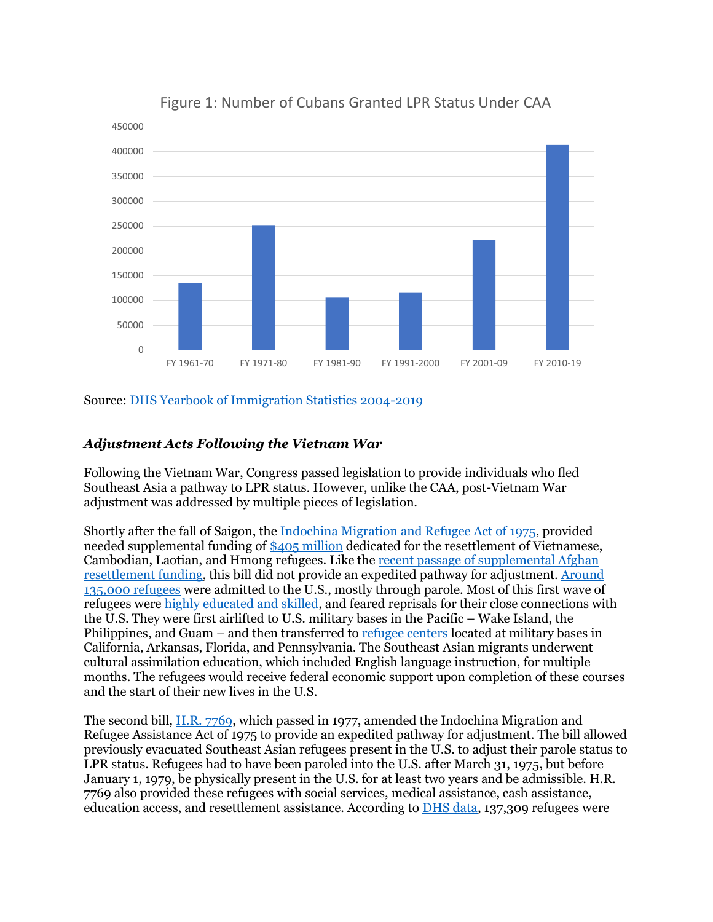

## Source: [DHS Yearbook of Immigration Statistics 2004-2019](https://www.dhs.gov/immigration-statistics/yearbook)

## *Adjustment Acts Following the Vietnam War*

Following the Vietnam War, Congress passed legislation to provide individuals who fled Southeast Asia a pathway to LPR status. However, unlike the CAA, post-Vietnam War adjustment was addressed by multiple pieces of legislation.

Shortly after the fall of Saigon, th[e Indochina Migration and Refugee Act of 1975,](https://www.govinfo.gov/content/pkg/STATUTE-89/pdf/STATUTE-89-Pg87.pdf#page=1) provided needed supplemental funding of [\\$405 million](https://history.house.gov/Exhibitions-and-Publications/APA/Historical-Essays/Growing-Diversity/Refugee-Crisis/) dedicated for the resettlement of Vietnamese, Cambodian, Laotian, and Hmong refugees. Like the [recent passage of supplemental Afghan](https://appropriations.house.gov/news/press-releases/house-passes-extending-government-funding-and-delivering-emergency-assistance)  [resettlement funding,](https://appropriations.house.gov/news/press-releases/house-passes-extending-government-funding-and-delivering-emergency-assistance) this bill did not provide an expedited pathway for adjustment. [Around](https://immigrationhistory.org/item/1975-indochina-migration-and-refugee-assistance-act/)  [135,000 refugees](https://immigrationhistory.org/item/1975-indochina-migration-and-refugee-assistance-act/) were admitted to the U.S., mostly through parole. Most of this first wave of refugees were [highly educated and skilled,](https://www.americanimmigrationcouncil.org/sites/default/files/research/RefugeestoAmericans.pdf) and feared reprisals for their close connections with the U.S. They were first airlifted to U.S. military bases in the Pacific – Wake Island, the Philippines, and Guam – and then transferred to [refugee centers](https://www.americanimmigrationcouncil.org/sites/default/files/research/RefugeestoAmericans.pdf) located at military bases in California, Arkansas, Florida, and Pennsylvania. The Southeast Asian migrants underwent cultural assimilation education, which included English language instruction, for multiple months. The refugees would receive federal economic support upon completion of these courses and the start of their new lives in the U.S.

The second bill, [H.R. 7769,](https://www.congress.gov/bill/95th-congress/house-bill/7769/text) which passed in 1977, amended the Indochina Migration and Refugee Assistance Act of 1975 to provide an expedited pathway for adjustment. The bill allowed previously evacuated Southeast Asian refugees present in the U.S. to adjust their parole status to LPR status. Refugees had to have been paroled into the U.S. after March 31, 1975, but before January 1, 1979, be physically present in the U.S. for at least two years and be admissible. H.R. 7769 also provided these refugees with social services, medical assistance, cash assistance, education access, and resettlement assistance. According to [DHS data,](https://www.dhs.gov/sites/default/files/publications/Yearbook_Immigration_Statistics_2004.pdf#page=71) 137,309 refugees were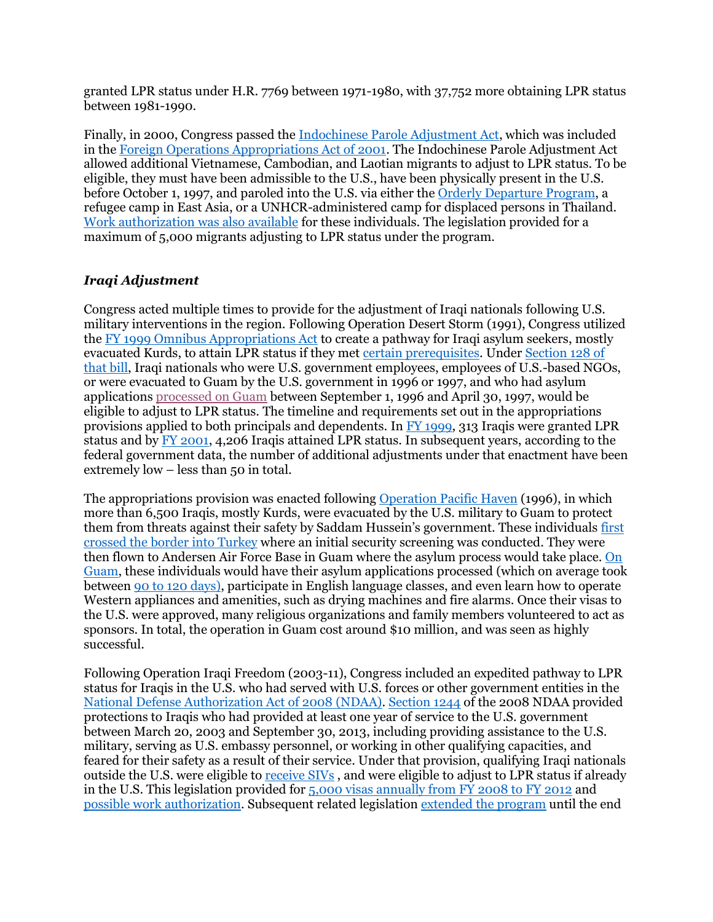granted LPR status under H.R. 7769 between 1971-1980, with 37,752 more obtaining LPR status between 1981-1990.

Finally, in 2000, Congress passed th[e Indochinese Parole Adjustment Act,](https://www.govinfo.gov/content/pkg/PLAW-106publ429/pdf/PLAW-106publ429.pdf#page=59) which was included in th[e Foreign Operations Appropriations Act of 2001.](https://www.justice.gov/sites/default/files/eoir/legacy/2003/07/09/fr09jy02-18.pdf) The Indochinese Parole Adjustment Act allowed additional Vietnamese, Cambodian, and Laotian migrants to adjust to LPR status. To be eligible, they must have been admissible to the U.S., have been physically present in the U.S. before October 1, 1997, and paroled into the U.S. via either the [Orderly Departure Program,](https://www.justice.gov/sites/default/files/eoir/legacy/2003/07/09/fr09jy02-18.pdf#page=2) a refugee camp in East Asia, or a UNHCR-administered camp for displaced persons in Thailand. [Work authorization was also available](https://www.uscis.gov/green-card/green-card-eligibility/green-card-through-the-indochinese-parole-adjustment-act) for these individuals. The legislation provided for a maximum of 5,000 migrants adjusting to LPR status under the program.

# *Iraqi Adjustment*

Congress acted multiple times to provide for the adjustment of Iraqi nationals following U.S. military interventions in the region. Following Operation Desert Storm (1991), Congress utilized the [FY 1999 Omnibus Appropriations Act](https://www.govinfo.gov/content/pkg/PLAW-105publ277/pdf/PLAW-105publ277.pdf) to create a pathway for Iraqi asylum seekers, mostly evacuated Kurds, to attain LPR status if they me[t certain prerequisites.](https://www.aila.org/infonet/ins-implents-adjustment-certain-iraqi-asylees) Under [Section 128](https://www.govinfo.gov/content/pkg/PLAW-105publ277/pdf/PLAW-105publ277.pdf#page=76) of that bill, Iraqi nationals who were U.S. government employees, employees of U.S.-based NGOs, or were evacuated to Guam by the U.S. government in 1996 or 1997, and who had asylum applications [processed on Guam](https://www.uscis.gov/sites/default/files/document/policy-manual-afm/afm23-external.pdf#page=154) between September 1, 1996 and April 30, 1997, would be eligible to adjust to LPR status. The timeline and requirements set out in the appropriations provisions applied to both principals and dependents. In [FY 1999,](https://www.dhs.gov/sites/default/files/publications/Yearbook_Immigration_Statistics_1999.pdf#page=36) 313 Iraqis were granted LPR status and by [FY 2001,](https://www.dhs.gov/sites/default/files/publications/Yearbook_Immigration_Statistics_2004.pdf#page=71) 4,206 Iraqis attained LPR status. In subsequent years, according to the federal government data, the number of additional adjustments under that enactment have been extremely low – less than 50 in total.

The appropriations provision was enacted following [Operation Pacific Haven](https://arsof-history.org/articles/v4n3_op_pacific_haven_page_1.html) (1996), in which more than 6,500 Iraqis, mostly Kurds, were evacuated by the U.S. military to Guam to protect them from threats against their safety by Saddam Hussein's government. These individuals [first](https://cdn.americanprogress.org/wp-content/uploads/issues/2009/01/pdf/iraqi_refugees.pdf?_ga=2.193983469.1730010169.1629311566-1965761269.1629311566#page=21)  [crossed the border into Turkey](https://cdn.americanprogress.org/wp-content/uploads/issues/2009/01/pdf/iraqi_refugees.pdf?_ga=2.193983469.1730010169.1629311566-1965761269.1629311566#page=21) where an initial security screening was conducted. They were then flown to Andersen Air Force Base in Guam where the asylum process would take place. [On](https://arsof-history.org/articles/v4n3_op_pacific_haven_page_2.html)  [Guam,](https://arsof-history.org/articles/v4n3_op_pacific_haven_page_2.html) these individuals would have their asylum applications processed (which on average took between [90 to 120 days\)](https://assets-global.website-files.com/60b7dbd50474252e6c8c4fc5/60f5a4b2256f0d8c188ef920_Truman-Center-SIV-Report.pdf#page=8), participate in English language classes, and even learn how to operate Western appliances and amenities, such as drying machines and fire alarms. Once their visas to the U.S. were approved, many religious organizations and family members volunteered to act as sponsors. In total, the operation in Guam cost around \$10 million, and was seen as highly successful.

Following Operation Iraqi Freedom (2003-11), Congress included an expedited pathway to LPR status for Iraqis in the U.S. who had served with U.S. forces or other government entities in the [National Defense Authorization Act of 2008](https://www.govinfo.gov/content/pkg/PLAW-110publ181/pdf/PLAW-110publ181.pdf) (NDAA). [Section 1244](https://www.govinfo.gov/content/pkg/PLAW-110publ181/pdf/PLAW-110publ181.pdf#page=394) of the 2008 NDAA provided protections to Iraqis who had provided at least one year of service to the U.S. government between March 20, 2003 and September 30, 2013, including providing assistance to the U.S. military, serving as U.S. embassy personnel, or working in other qualifying capacities, and feared for their safety as a result of their service. Under that provision, qualifying Iraqi nationals outside the U.S. were eligible to [receive SIVs](https://travel.state.gov/content/travel/en/us-visas/immigrate/special-immg-visas-iraqis-employed-us-gov.html), and were eligible to adjust to LPR status if already in the U.S. This legislation provided for [5,000 visas annually from FY 2008 to FY 2012](https://www.uscis.gov/policy-manual/volume-6-part-h-chapter-8) and [possible work authorization.](https://www.uscis.gov/green-card/green-card-eligibility/green-card-for-an-iraqi-who-was-employed-by-or-on-behalf-of-the-us-government) Subsequent related legislatio[n extended the program](https://www.congress.gov/113/plaws/publ42/PLAW-113publ42.pdf) until the end